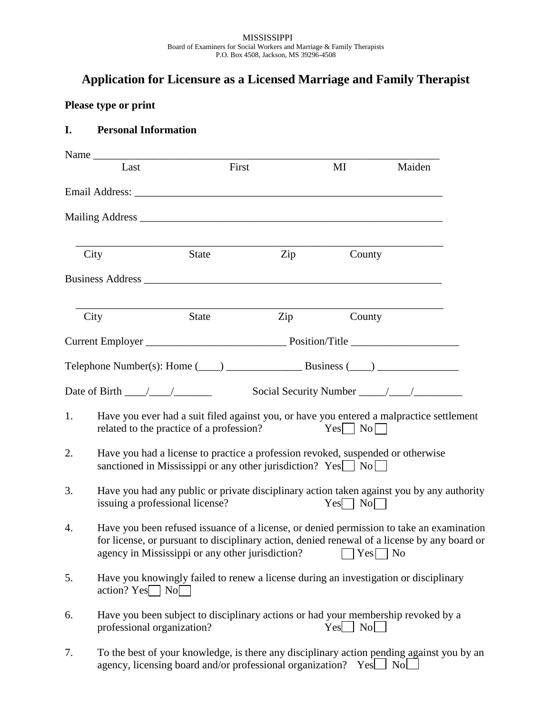## **Application for Licensure as a Licensed Marriage and Family Therapist**

## **Please type or print**

## **I. Personal Information**

|    | Name                               |                                                                                                                                                            |     |                    |                                                                                                                                                                                                                                                                   |  |
|----|------------------------------------|------------------------------------------------------------------------------------------------------------------------------------------------------------|-----|--------------------|-------------------------------------------------------------------------------------------------------------------------------------------------------------------------------------------------------------------------------------------------------------------|--|
|    | Last                               | First                                                                                                                                                      |     | MI                 | Maiden                                                                                                                                                                                                                                                            |  |
|    |                                    |                                                                                                                                                            |     |                    |                                                                                                                                                                                                                                                                   |  |
|    |                                    |                                                                                                                                                            |     |                    |                                                                                                                                                                                                                                                                   |  |
|    | City                               | <b>State</b>                                                                                                                                               | Zip | County             |                                                                                                                                                                                                                                                                   |  |
|    |                                    |                                                                                                                                                            |     |                    |                                                                                                                                                                                                                                                                   |  |
|    | City                               | State                                                                                                                                                      | Zip | County             |                                                                                                                                                                                                                                                                   |  |
|    |                                    |                                                                                                                                                            |     |                    |                                                                                                                                                                                                                                                                   |  |
|    |                                    |                                                                                                                                                            |     |                    |                                                                                                                                                                                                                                                                   |  |
|    | Date of Birth $\frac{\sqrt{2}}{2}$ |                                                                                                                                                            |     |                    |                                                                                                                                                                                                                                                                   |  |
| 1. |                                    | related to the practice of a profession?                                                                                                                   |     | $Yes \Box No \Box$ | Have you ever had a suit filed against you, or have you entered a malpractice settlement                                                                                                                                                                          |  |
| 2. |                                    | Have you had a license to practice a profession revoked, suspended or otherwise<br>sanctioned in Mississippi or any other jurisdiction? $Yes \Box No \Box$ |     |                    |                                                                                                                                                                                                                                                                   |  |
| 3. | issuing a professional license?    |                                                                                                                                                            |     | $Yes \Box No \Box$ | Have you had any public or private disciplinary action taken against you by any authority                                                                                                                                                                         |  |
| 4. |                                    |                                                                                                                                                            |     |                    | Have you been refused issuance of a license, or denied permission to take an examination<br>for license, or pursuant to disciplinary action, denied renewal of a license by any board or<br>agency in Mississippi or any other jurisdiction? $\Box$ Yes $\Box$ No |  |
| 5. | $\arctan$ ? Yes No                 |                                                                                                                                                            |     |                    | Have you knowingly failed to renew a license during an investigation or disciplinary                                                                                                                                                                              |  |
| 6. | professional organization?         |                                                                                                                                                            |     | $Yes \_$ No $\_$   | Have you been subject to disciplinary actions or had your membership revoked by a                                                                                                                                                                                 |  |
| 7. |                                    | agency, licensing board and/or professional organization?                                                                                                  |     | Yes_               | To the best of your knowledge, is there any disciplinary action pending against you by an<br>No.                                                                                                                                                                  |  |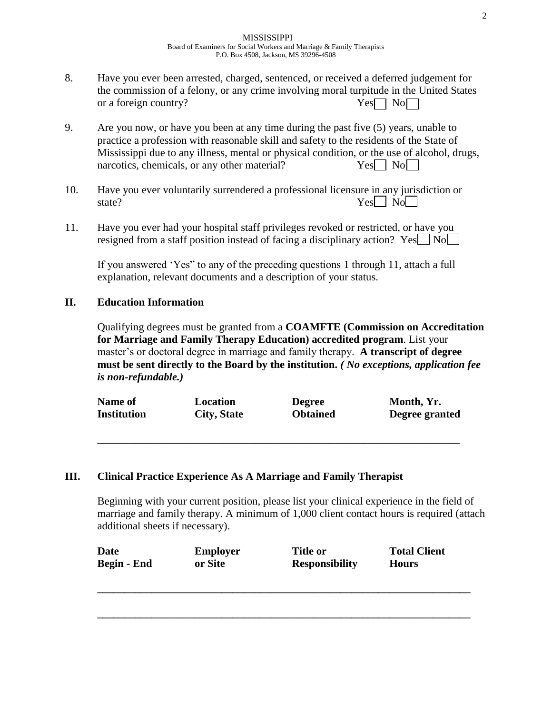- 8. Have you ever been arrested, charged, sentenced, or received a deferred judgement for the commission of a felony, or any crime involving moral turpitude in the United States or a foreign country?  $Yes \Box \ No \Box$
- 9. Are you now, or have you been at any time during the past five (5) years, unable to practice a profession with reasonable skill and safety to the residents of the State of Mississippi due to any illness, mental or physical condition, or the use of alcohol, drugs, narcotics, chemicals, or any other material?  $Yes \Box \ No \Box$
- 10. Have you ever voluntarily surrendered a professional licensure in any jurisdiction or state? Yes No No No. 2014
- 11. Have you ever had your hospital staff privileges revoked or restricted, or have you resigned from a staff position instead of facing a disciplinary action? Yes  $\Box$  No

If you answered 'Yes" to any of the preceding questions 1 through 11, attach a full explanation, relevant documents and a description of your status.

## **II. Education Information**

Qualifying degrees must be granted from a **COAMFTE (Commission on Accreditation for Marriage and Family Therapy Education) accredited program**. List your master's or doctoral degree in marriage and family therapy. **A transcript of degree must be sent directly to the Board by the institution.** *( No exceptions, application fee is non-refundable.)*

| <b>Name of</b> | Location    | <b>Degree</b>   | Month, Yr.     |
|----------------|-------------|-----------------|----------------|
| Institution    | City, State | <b>Obtained</b> | Degree granted |
|                |             |                 |                |

\_\_\_\_\_\_\_\_\_\_\_\_\_\_\_\_\_\_\_\_\_\_\_\_\_\_\_\_\_\_\_\_\_\_\_\_\_\_\_\_\_\_\_\_\_\_\_\_\_\_\_\_\_\_\_\_\_\_\_\_\_\_\_\_\_\_\_

### **III. Clinical Practice Experience As A Marriage and Family Therapist**

Beginning with your current position, please list your clinical experience in the field of marriage and family therapy. A minimum of 1,000 client contact hours is required (attach additional sheets if necessary).

| <b>Date</b> | <b>Employer</b> | <b>Title or</b>       | <b>Total Client</b> |
|-------------|-----------------|-----------------------|---------------------|
| Begin - End | or Site         | <b>Responsibility</b> | <b>Hours</b>        |
|             |                 |                       |                     |

**\_\_\_\_\_\_\_\_\_\_\_\_\_\_\_\_\_\_\_\_\_\_\_\_\_\_\_\_\_\_\_\_\_\_\_\_\_\_\_\_\_\_\_\_\_\_\_\_\_\_\_\_\_\_\_\_\_\_\_\_\_\_\_\_\_\_\_\_\_**

**\_\_\_\_\_\_\_\_\_\_\_\_\_\_\_\_\_\_\_\_\_\_\_\_\_\_\_\_\_\_\_\_\_\_\_\_\_\_\_\_\_\_\_\_\_\_\_\_\_\_\_\_\_\_\_\_\_\_\_\_\_\_\_\_\_\_\_\_\_**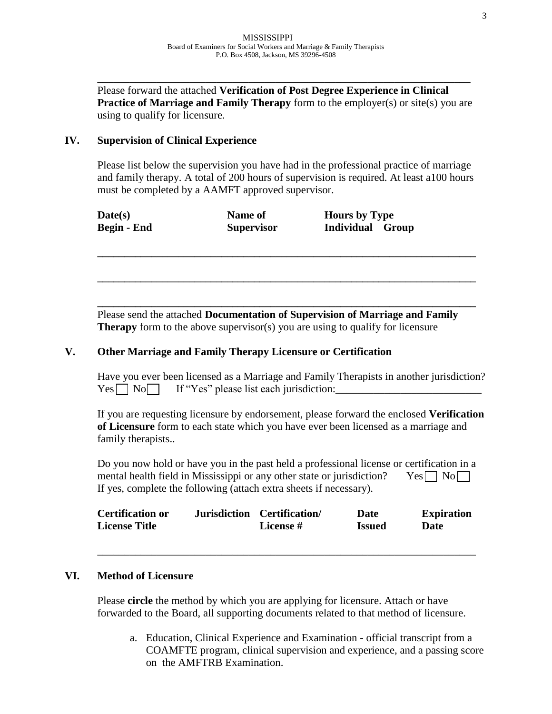Please forward the attached **Verification of Post Degree Experience in Clinical Practice of Marriage and Family Therapy** form to the employer(s) or site(s) you are using to qualify for licensure.

**\_\_\_\_\_\_\_\_\_\_\_\_\_\_\_\_\_\_\_\_\_\_\_\_\_\_\_\_\_\_\_\_\_\_\_\_\_\_\_\_\_\_\_\_\_\_\_\_\_\_\_\_\_\_\_\_\_\_\_\_\_\_\_\_\_\_\_\_\_**

### **IV. Supervision of Clinical Experience**

Please list below the supervision you have had in the professional practice of marriage and family therapy. A total of 200 hours of supervision is required. At least a100 hours must be completed by a AAMFT approved supervisor.

**\_\_\_\_\_\_\_\_\_\_\_\_\_\_\_\_\_\_\_\_\_\_\_\_\_\_\_\_\_\_\_\_\_\_\_\_\_\_\_\_\_\_\_\_\_\_\_\_\_\_\_\_\_\_\_\_\_\_\_\_\_\_\_\_\_\_\_\_\_\_**

**\_\_\_\_\_\_\_\_\_\_\_\_\_\_\_\_\_\_\_\_\_\_\_\_\_\_\_\_\_\_\_\_\_\_\_\_\_\_\_\_\_\_\_\_\_\_\_\_\_\_\_\_\_\_\_\_\_\_\_\_\_\_\_\_\_\_\_\_\_\_**

| Date(s)     | Name of           | <b>Hours by Type</b> |
|-------------|-------------------|----------------------|
| Begin - End | <b>Supervisor</b> | Individual Group     |

**\_\_\_\_\_\_\_\_\_\_\_\_\_\_\_\_\_\_\_\_\_\_\_\_\_\_\_\_\_\_\_\_\_\_\_\_\_\_\_\_\_\_\_\_\_\_\_\_\_\_\_\_\_\_\_\_\_\_\_\_\_\_\_\_\_\_\_\_\_\_** Please send the attached **Documentation of Supervision of Marriage and Family Therapy** form to the above supervisor(s) you are using to qualify for licensure

### **V. Other Marriage and Family Therapy Licensure or Certification**

Have you ever been licensed as a Marriage and Family Therapists in another jurisdiction?  $Yes \frown No \frown If "Yes" please list each jurisdiction:$ 

If you are requesting licensure by endorsement, please forward the enclosed **Verification of Licensure** form to each state which you have ever been licensed as a marriage and family therapists..

Do you now hold or have you in the past held a professional license or certification in a mental health field in Mississippi or any other state or jurisdiction? Yes  $\Box$  No If yes, complete the following (attach extra sheets if necessary).

| <b>Certification or</b> | Jurisdiction Certification/ | <b>Date</b>   | <b>Expiration</b> |
|-------------------------|-----------------------------|---------------|-------------------|
| <b>License Title</b>    | License #                   | <b>Issued</b> | Date              |

\_\_\_\_\_\_\_\_\_\_\_\_\_\_\_\_\_\_\_\_\_\_\_\_\_\_\_\_\_\_\_\_\_\_\_\_\_\_\_\_\_\_\_\_\_\_\_\_\_\_\_\_\_\_\_\_\_\_\_\_\_\_\_\_\_\_\_\_\_\_

### **VI. Method of Licensure**

Please **circle** the method by which you are applying for licensure. Attach or have forwarded to the Board, all supporting documents related to that method of licensure.

a. Education, Clinical Experience and Examination - official transcript from a COAMFTE program, clinical supervision and experience, and a passing score on the AMFTRB Examination.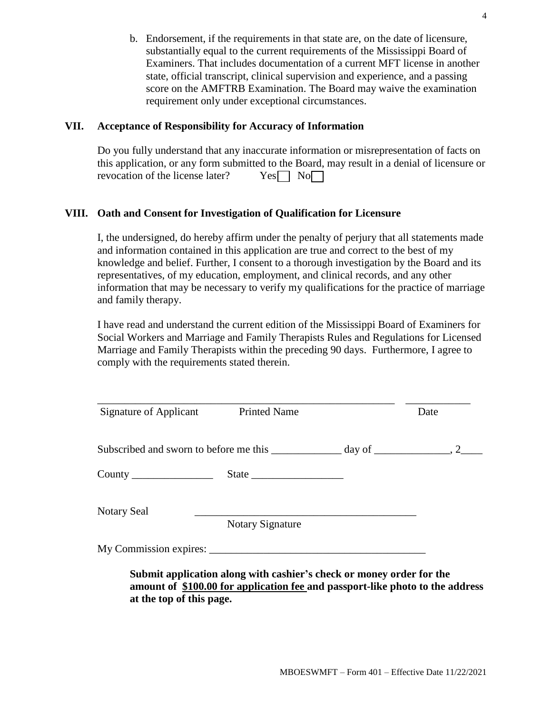b. Endorsement, if the requirements in that state are, on the date of licensure, substantially equal to the current requirements of the Mississippi Board of Examiners. That includes documentation of a current MFT license in another state, official transcript, clinical supervision and experience, and a passing score on the AMFTRB Examination. The Board may waive the examination requirement only under exceptional circumstances.

## **VII. Acceptance of Responsibility for Accuracy of Information**

Do you fully understand that any inaccurate information or misrepresentation of facts on this application, or any form submitted to the Board, may result in a denial of licensure or revocation of the license later?  $Yes \Box No \Box$ 

## **VIII. Oath and Consent for Investigation of Qualification for Licensure**

I, the undersigned, do hereby affirm under the penalty of perjury that all statements made and information contained in this application are true and correct to the best of my knowledge and belief. Further, I consent to a thorough investigation by the Board and its representatives, of my education, employment, and clinical records, and any other information that may be necessary to verify my qualifications for the practice of marriage and family therapy.

I have read and understand the current edition of the Mississippi Board of Examiners for Social Workers and Marriage and Family Therapists Rules and Regulations for Licensed Marriage and Family Therapists within the preceding 90 days. Furthermore, I agree to comply with the requirements stated therein.

| State                   |  |
|-------------------------|--|
| <b>Notary Signature</b> |  |
| My Commission expires:  |  |
|                         |  |

**amount of \$100.00 for application fee and passport-like photo to the address at the top of this page.**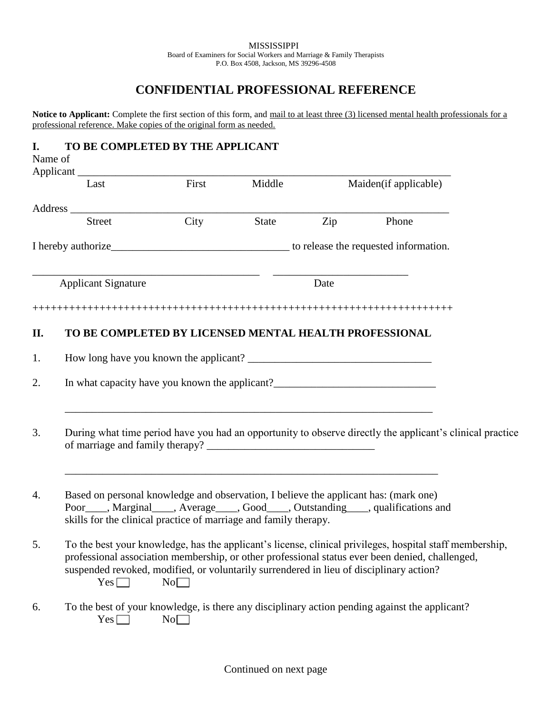## **CONFIDENTIAL PROFESSIONAL REFERENCE**

Notice to Applicant: Complete the first section of this form, and mail to at least three (3) licensed mental health professionals for a professional reference. Make copies of the original form as needed.

## **I. TO BE COMPLETED BY THE APPLICANT**

| Name of | Applicant_                                                                                                                                               |       |              |      |                                                                                                                                                                                                             |
|---------|----------------------------------------------------------------------------------------------------------------------------------------------------------|-------|--------------|------|-------------------------------------------------------------------------------------------------------------------------------------------------------------------------------------------------------------|
|         | Last                                                                                                                                                     | First | Middle       |      | Maiden(if applicable)                                                                                                                                                                                       |
|         |                                                                                                                                                          |       |              |      |                                                                                                                                                                                                             |
|         | <b>Street</b>                                                                                                                                            | City  | <b>State</b> | Zip  | Phone                                                                                                                                                                                                       |
|         |                                                                                                                                                          |       |              |      |                                                                                                                                                                                                             |
|         | <b>Applicant Signature</b>                                                                                                                               |       |              | Date |                                                                                                                                                                                                             |
|         |                                                                                                                                                          |       |              |      |                                                                                                                                                                                                             |
| П.      | TO BE COMPLETED BY LICENSED MENTAL HEALTH PROFESSIONAL                                                                                                   |       |              |      |                                                                                                                                                                                                             |
|         |                                                                                                                                                          |       |              |      |                                                                                                                                                                                                             |
| 1.      | How long have you known the applicant?                                                                                                                   |       |              |      |                                                                                                                                                                                                             |
| 2.      | In what capacity have you known the applicant?__________________________________                                                                         |       |              |      |                                                                                                                                                                                                             |
|         |                                                                                                                                                          |       |              |      |                                                                                                                                                                                                             |
| 3.      |                                                                                                                                                          |       |              |      | During what time period have you had an opportunity to observe directly the applicant's clinical practice                                                                                                   |
| 4.      | Based on personal knowledge and observation, I believe the applicant has: (mark one)<br>skills for the clinical practice of marriage and family therapy. |       |              |      | Poor____, Marginal____, Average____, Good____, Outstanding____, qualifications and                                                                                                                          |
| 5.      | suspended revoked, modified, or voluntarily surrendered in lieu of disciplinary action?<br>$Yes \Box$                                                    | No    |              |      | To the best your knowledge, has the applicant's license, clinical privileges, hospital staff membership,<br>professional association membership, or other professional status ever been denied, challenged, |
| 6.      | $Yes$ $\Box$                                                                                                                                             | No    |              |      | To the best of your knowledge, is there any disciplinary action pending against the applicant?                                                                                                              |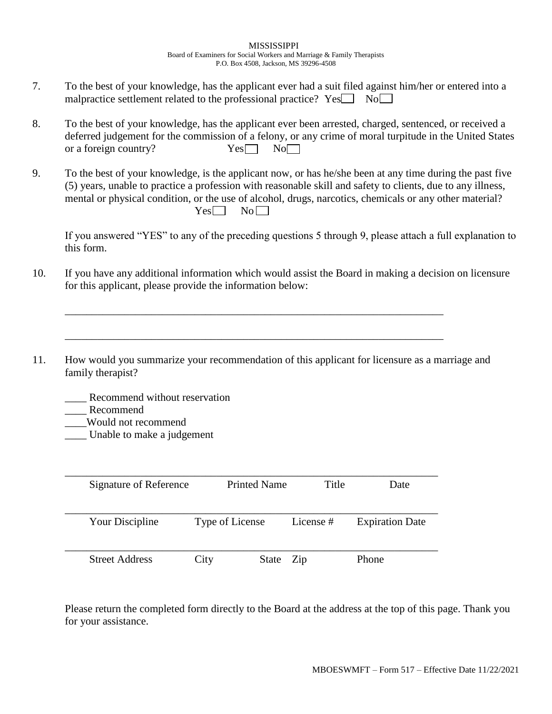- 7. To the best of your knowledge, has the applicant ever had a suit filed against him/her or entered into a malpractice settlement related to the professional practice?  $Yes \Box No \Box$
- 8. To the best of your knowledge, has the applicant ever been arrested, charged, sentenced, or received a deferred judgement for the commission of a felony, or any crime of moral turpitude in the United States or a foreign country?  $Yes \tNo$
- 9. To the best of your knowledge, is the applicant now, or has he/she been at any time during the past five (5) years, unable to practice a profession with reasonable skill and safety to clients, due to any illness, mental or physical condition, or the use of alcohol, drugs, narcotics, chemicals or any other material?  $Yes \Box No \Box$

If you answered "YES" to any of the preceding questions 5 through 9, please attach a full explanation to this form.

- 10. If you have any additional information which would assist the Board in making a decision on licensure for this applicant, please provide the information below:
- 11. How would you summarize your recommendation of this applicant for licensure as a marriage and family therapist?

\_\_\_\_\_\_\_\_\_\_\_\_\_\_\_\_\_\_\_\_\_\_\_\_\_\_\_\_\_\_\_\_\_\_\_\_\_\_\_\_\_\_\_\_\_\_\_\_\_\_\_\_\_\_\_\_\_\_\_\_\_\_\_\_\_\_\_\_\_\_

\_\_\_\_\_\_\_\_\_\_\_\_\_\_\_\_\_\_\_\_\_\_\_\_\_\_\_\_\_\_\_\_\_\_\_\_\_\_\_\_\_\_\_\_\_\_\_\_\_\_\_\_\_\_\_\_\_\_\_\_\_\_\_\_\_\_\_\_\_\_

- Recommend without reservation
- \_\_\_\_ Recommend
- \_\_\_\_Would not recommend
- Unable to make a judgement

| Signature of Reference | <b>Printed Name</b> | Title     | Date                   |
|------------------------|---------------------|-----------|------------------------|
| Your Discipline        | Type of License     | License # | <b>Expiration Date</b> |
| <b>Street Address</b>  | City<br>State Zip   |           | Phone                  |

Please return the completed form directly to the Board at the address at the top of this page. Thank you for your assistance.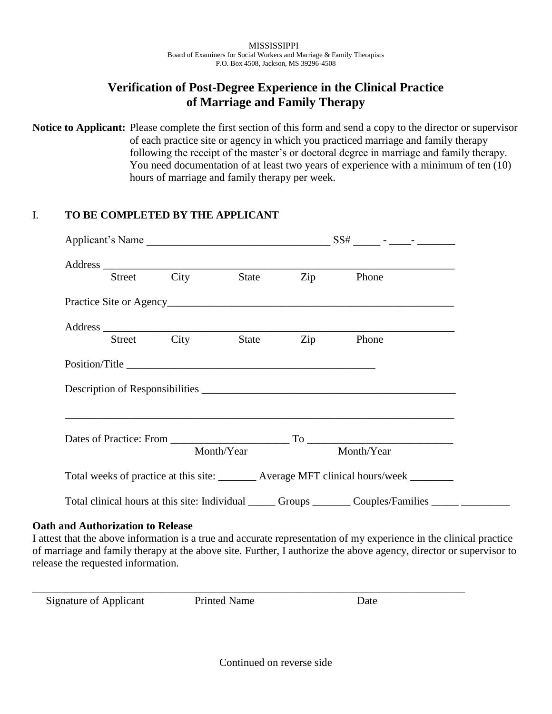## **Verification of Post-Degree Experience in the Clinical Practice of Marriage and Family Therapy**

**Notice to Applicant:** Please complete the first section of this form and send a copy to the director or supervisor of each practice site or agency in which you practiced marriage and family therapy following the receipt of the master's or doctoral degree in marriage and family therapy. You need documentation of at least two years of experience with a minimum of ten (10) hours of marriage and family therapy per week.

## I. **TO BE COMPLETED BY THE APPLICANT**

|                |      |              | Address Street City State Zip Phone                                                     |
|----------------|------|--------------|-----------------------------------------------------------------------------------------|
|                |      |              |                                                                                         |
|                |      |              |                                                                                         |
| Street         | City | <b>State</b> | Zip Phone                                                                               |
|                |      |              |                                                                                         |
| Position/Title |      |              |                                                                                         |
|                |      |              |                                                                                         |
|                |      |              |                                                                                         |
|                |      | Month/Year   | Month/Year                                                                              |
|                |      |              | Total weeks of practice at this site: ________ Average MFT clinical hours/week ________ |

I attest that the above information is a true and accurate representation of my experience in the clinical practice of marriage and family therapy at the above site. Further, I authorize the above agency, director or supervisor to release the requested information.

Signature of Applicant Printed Name Date

\_\_\_\_\_\_\_\_\_\_\_\_\_\_\_\_\_\_\_\_\_\_\_\_\_\_\_\_\_\_\_\_\_\_\_\_\_\_\_\_\_\_\_\_\_\_\_\_\_\_\_\_\_\_\_\_\_\_\_\_\_\_\_\_\_\_\_\_\_\_\_\_\_\_\_\_\_\_\_\_

Continued on reverse side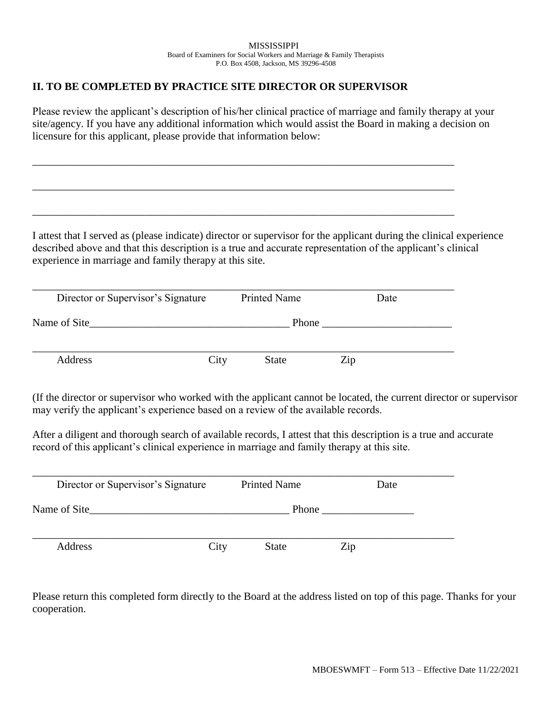## **II. TO BE COMPLETED BY PRACTICE SITE DIRECTOR OR SUPERVISOR**

Please review the applicant's description of his/her clinical practice of marriage and family therapy at your site/agency. If you have any additional information which would assist the Board in making a decision on licensure for this applicant, please provide that information below:

\_\_\_\_\_\_\_\_\_\_\_\_\_\_\_\_\_\_\_\_\_\_\_\_\_\_\_\_\_\_\_\_\_\_\_\_\_\_\_\_\_\_\_\_\_\_\_\_\_\_\_\_\_\_\_\_\_\_\_\_\_\_\_\_\_\_\_\_\_\_\_\_\_\_\_\_\_\_

\_\_\_\_\_\_\_\_\_\_\_\_\_\_\_\_\_\_\_\_\_\_\_\_\_\_\_\_\_\_\_\_\_\_\_\_\_\_\_\_\_\_\_\_\_\_\_\_\_\_\_\_\_\_\_\_\_\_\_\_\_\_\_\_\_\_\_\_\_\_\_\_\_\_\_\_\_\_

\_\_\_\_\_\_\_\_\_\_\_\_\_\_\_\_\_\_\_\_\_\_\_\_\_\_\_\_\_\_\_\_\_\_\_\_\_\_\_\_\_\_\_\_\_\_\_\_\_\_\_\_\_\_\_\_\_\_\_\_\_\_\_\_\_\_\_\_\_\_\_\_\_\_\_\_\_\_

I attest that I served as (please indicate) director or supervisor for the applicant during the clinical experience described above and that this description is a true and accurate representation of the applicant's clinical experience in marriage and family therapy at this site.

| Director or Supervisor's Signature |      | <b>Printed Name</b> |       | Date |
|------------------------------------|------|---------------------|-------|------|
| Name of Site                       |      |                     | Phone |      |
| Address                            | City | State               | Zip   |      |

(If the director or supervisor who worked with the applicant cannot be located, the current director or supervisor may verify the applicant's experience based on a review of the available records.

After a diligent and thorough search of available records, I attest that this description is a true and accurate record of this applicant's clinical experience in marriage and family therapy at this site.

| Director or Supervisor's Signature |      | <b>Printed Name</b> | Date |  |
|------------------------------------|------|---------------------|------|--|
| Name of Site                       |      | Phone               |      |  |
| Address                            | City | <b>State</b>        | Zip  |  |

Please return this completed form directly to the Board at the address listed on top of this page. Thanks for your cooperation.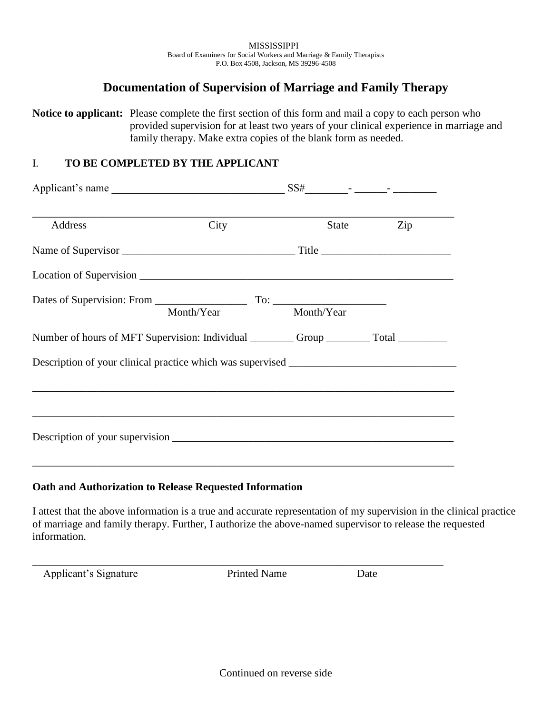## **Documentation of Supervision of Marriage and Family Therapy**

**Notice to applicant:** Please complete the first section of this form and mail a copy to each person who provided supervision for at least two years of your clinical experience in marriage and family therapy. Make extra copies of the blank form as needed.

## I. **TO BE COMPLETED BY THE APPLICANT**

| Applicant's name                                                                  |      |       |     |
|-----------------------------------------------------------------------------------|------|-------|-----|
| Address                                                                           | City | State | Zip |
|                                                                                   |      |       |     |
|                                                                                   |      |       |     |
| Dates of Supervision: From Month/Year To: Month/Year Month/Year                   |      |       |     |
|                                                                                   |      |       |     |
| Description of your clinical practice which was supervised ______________________ |      |       |     |
|                                                                                   |      |       |     |
|                                                                                   |      |       |     |
|                                                                                   |      |       |     |
|                                                                                   |      |       |     |

## **Oath and Authorization to Release Requested Information**

I attest that the above information is a true and accurate representation of my supervision in the clinical practice of marriage and family therapy. Further, I authorize the above-named supervisor to release the requested information.

Applicant's Signature Printed Name Date

\_\_\_\_\_\_\_\_\_\_\_\_\_\_\_\_\_\_\_\_\_\_\_\_\_\_\_\_\_\_\_\_\_\_\_\_\_\_\_\_\_\_\_\_\_\_\_\_\_\_\_\_\_\_\_\_\_\_\_\_\_\_\_\_\_\_\_\_\_\_\_\_\_\_\_\_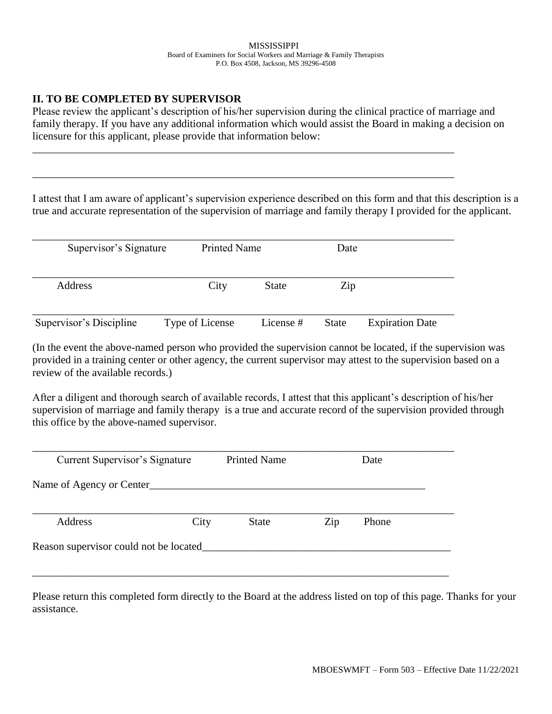## **II. TO BE COMPLETED BY SUPERVISOR**

Please review the applicant's description of his/her supervision during the clinical practice of marriage and family therapy. If you have any additional information which would assist the Board in making a decision on licensure for this applicant, please provide that information below:

I attest that I am aware of applicant's supervision experience described on this form and that this description is a true and accurate representation of the supervision of marriage and family therapy I provided for the applicant.

| Supervisor's Signature  |                 | <b>Printed Name</b> |              |                        |
|-------------------------|-----------------|---------------------|--------------|------------------------|
| Address                 | City            | <b>State</b>        | Zip          |                        |
| Supervisor's Discipline | Type of License | License #           | <b>State</b> | <b>Expiration Date</b> |

\_\_\_\_\_\_\_\_\_\_\_\_\_\_\_\_\_\_\_\_\_\_\_\_\_\_\_\_\_\_\_\_\_\_\_\_\_\_\_\_\_\_\_\_\_\_\_\_\_\_\_\_\_\_\_\_\_\_\_\_\_\_\_\_\_\_\_\_\_\_\_\_\_\_\_\_\_\_

\_\_\_\_\_\_\_\_\_\_\_\_\_\_\_\_\_\_\_\_\_\_\_\_\_\_\_\_\_\_\_\_\_\_\_\_\_\_\_\_\_\_\_\_\_\_\_\_\_\_\_\_\_\_\_\_\_\_\_\_\_\_\_\_\_\_\_\_\_\_\_\_\_\_\_\_\_\_

(In the event the above-named person who provided the supervision cannot be located, if the supervision was provided in a training center or other agency, the current supervisor may attest to the supervision based on a review of the available records.)

After a diligent and thorough search of available records, I attest that this applicant's description of his/her supervision of marriage and family therapy is a true and accurate record of the supervision provided through this office by the above-named supervisor.

| Current Supervisor's Signature         |      | <b>Printed Name</b> |     | Date  |
|----------------------------------------|------|---------------------|-----|-------|
| Name of Agency or Center               |      |                     |     |       |
| Address                                | City | <b>State</b>        | Zip | Phone |
| Reason supervisor could not be located |      |                     |     |       |

Please return this completed form directly to the Board at the address listed on top of this page. Thanks for your assistance.